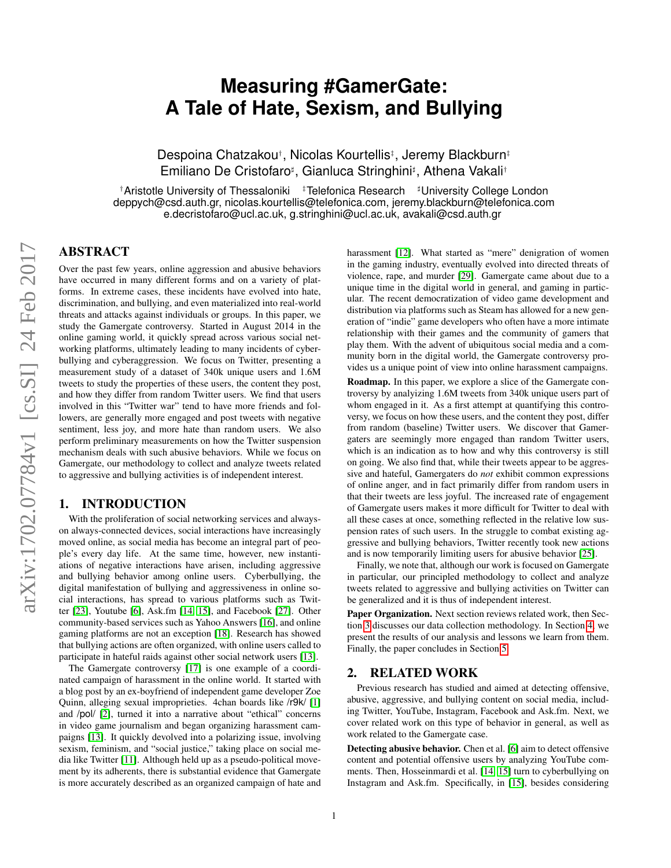# **Measuring #GamerGate: A Tale of Hate, Sexism, and Bullying**

Despoina Chatzakou†, Nicolas Kourtellis‡, Jeremy Blackburn‡ Emiliano De Cristofaro<sup>#</sup>, Gianluca Stringhini<sup>#</sup>, Athena Vakali<sup>+</sup>

†Aristotle University of Thessaloniki <sup>‡</sup>Telefonica Research <sup>#</sup>University College London deppych@csd.auth.gr, nicolas.kourtellis@telefonica.com, jeremy.blackburn@telefonica.com e.decristofaro@ucl.ac.uk, g.stringhini@ucl.ac.uk, avakali@csd.auth.gr

# ABSTRACT

Over the past few years, online aggression and abusive behaviors have occurred in many different forms and on a variety of platforms. In extreme cases, these incidents have evolved into hate, discrimination, and bullying, and even materialized into real-world threats and attacks against individuals or groups. In this paper, we study the Gamergate controversy. Started in August 2014 in the online gaming world, it quickly spread across various social networking platforms, ultimately leading to many incidents of cyberbullying and cyberaggression. We focus on Twitter, presenting a measurement study of a dataset of 340k unique users and 1.6M tweets to study the properties of these users, the content they post, and how they differ from random Twitter users. We find that users involved in this "Twitter war" tend to have more friends and followers, are generally more engaged and post tweets with negative sentiment, less joy, and more hate than random users. We also perform preliminary measurements on how the Twitter suspension mechanism deals with such abusive behaviors. While we focus on Gamergate, our methodology to collect and analyze tweets related to aggressive and bullying activities is of independent interest.

## 1. INTRODUCTION

With the proliferation of social networking services and alwayson always-connected devices, social interactions have increasingly moved online, as social media has become an integral part of people's every day life. At the same time, however, new instantiations of negative interactions have arisen, including aggressive and bullying behavior among online users. Cyberbullying, the digital manifestation of bullying and aggressiveness in online social interactions, has spread to various platforms such as Twitter [\[23\]](#page-5-0), Youtube [\[6\]](#page-5-1), Ask.fm [\[14,](#page-5-2) [15\]](#page-5-3), and Facebook [\[27\]](#page-5-4). Other community-based services such as Yahoo Answers [\[16\]](#page-5-5), and online gaming platforms are not an exception [\[18\]](#page-5-6). Research has showed that bullying actions are often organized, with online users called to participate in hateful raids against other social network users [\[13\]](#page-5-7).

The Gamergate controversy [\[17\]](#page-5-8) is one example of a coordinated campaign of harassment in the online world. It started with a blog post by an ex-boyfriend of independent game developer Zoe Quinn, alleging sexual improprieties. 4chan boards like /r9k/ [\[1\]](#page-5-9) and /pol/ [\[2\]](#page-5-10), turned it into a narrative about "ethical" concerns in video game journalism and began organizing harassment campaigns [\[13\]](#page-5-7). It quickly devolved into a polarizing issue, involving sexism, feminism, and "social justice," taking place on social media like Twitter [\[11\]](#page-5-11). Although held up as a pseudo-political movement by its adherents, there is substantial evidence that Gamergate is more accurately described as an organized campaign of hate and harassment [\[12\]](#page-5-12). What started as "mere" denigration of women in the gaming industry, eventually evolved into directed threats of violence, rape, and murder [\[29\]](#page-5-13). Gamergate came about due to a unique time in the digital world in general, and gaming in particular. The recent democratization of video game development and distribution via platforms such as Steam has allowed for a new generation of "indie" game developers who often have a more intimate relationship with their games and the community of gamers that play them. With the advent of ubiquitous social media and a community born in the digital world, the Gamergate controversy provides us a unique point of view into online harassment campaigns.

Roadmap. In this paper, we explore a slice of the Gamergate controversy by analyizing 1.6M tweets from 340k unique users part of whom engaged in it. As a first attempt at quantifying this controversy, we focus on how these users, and the content they post, differ from random (baseline) Twitter users. We discover that Gamergaters are seemingly more engaged than random Twitter users, which is an indication as to how and why this controversy is still on going. We also find that, while their tweets appear to be aggressive and hateful, Gamergaters do *not* exhibit common expressions of online anger, and in fact primarily differ from random users in that their tweets are less joyful. The increased rate of engagement of Gamergate users makes it more difficult for Twitter to deal with all these cases at once, something reflected in the relative low suspension rates of such users. In the struggle to combat existing aggressive and bullying behaviors, Twitter recently took new actions and is now temporarily limiting users for abusive behavior [\[25\]](#page-5-14).

Finally, we note that, although our work is focused on Gamergate in particular, our principled methodology to collect and analyze tweets related to aggressive and bullying activities on Twitter can be generalized and it is thus of independent interest.

Paper Organization. Next section reviews related work, then Section [3](#page-1-0) discusses our data collection methodology. In Section [4,](#page-2-0) we present the results of our analysis and lessons we learn from them. Finally, the paper concludes in Section [5.](#page-4-0)

#### 2. RELATED WORK

Previous research has studied and aimed at detecting offensive, abusive, aggressive, and bullying content on social media, including Twitter, YouTube, Instagram, Facebook and Ask.fm. Next, we cover related work on this type of behavior in general, as well as work related to the Gamergate case.

Detecting abusive behavior. Chen et al. [\[6\]](#page-5-1) aim to detect offensive content and potential offensive users by analyzing YouTube comments. Then, Hosseinmardi et al. [\[14,](#page-5-2) [15\]](#page-5-3) turn to cyberbullying on Instagram and Ask.fm. Specifically, in [\[15\]](#page-5-3), besides considering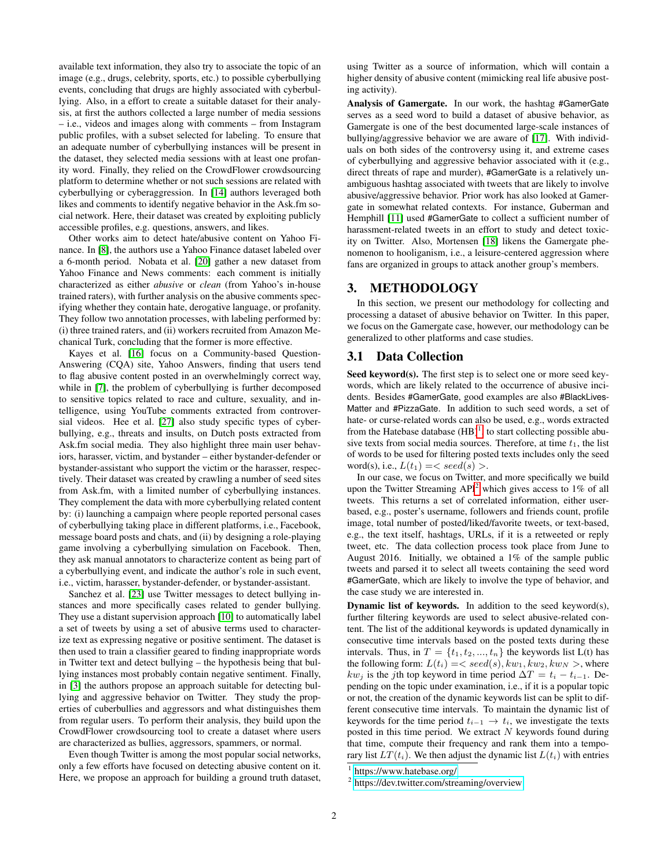available text information, they also try to associate the topic of an image (e.g., drugs, celebrity, sports, etc.) to possible cyberbullying events, concluding that drugs are highly associated with cyberbullying. Also, in a effort to create a suitable dataset for their analysis, at first the authors collected a large number of media sessions – i.e., videos and images along with comments – from Instagram public profiles, with a subset selected for labeling. To ensure that an adequate number of cyberbullying instances will be present in the dataset, they selected media sessions with at least one profanity word. Finally, they relied on the CrowdFlower crowdsourcing platform to determine whether or not such sessions are related with cyberbullying or cyberaggression. In [\[14\]](#page-5-2) authors leveraged both likes and comments to identify negative behavior in the Ask.fm social network. Here, their dataset was created by exploiting publicly accessible profiles, e.g. questions, answers, and likes.

Other works aim to detect hate/abusive content on Yahoo Finance. In [\[8\]](#page-5-15), the authors use a Yahoo Finance dataset labeled over a 6-month period. Nobata et al. [\[20\]](#page-5-16) gather a new dataset from Yahoo Finance and News comments: each comment is initially characterized as either *abusive* or *clean* (from Yahoo's in-house trained raters), with further analysis on the abusive comments specifying whether they contain hate, derogative language, or profanity. They follow two annotation processes, with labeling performed by: (i) three trained raters, and (ii) workers recruited from Amazon Mechanical Turk, concluding that the former is more effective.

Kayes et al. [\[16\]](#page-5-5) focus on a Community-based Question-Answering (CQA) site, Yahoo Answers, finding that users tend to flag abusive content posted in an overwhelmingly correct way, while in [\[7\]](#page-5-17), the problem of cyberbullying is further decomposed to sensitive topics related to race and culture, sexuality, and intelligence, using YouTube comments extracted from controversial videos. Hee et al. [\[27\]](#page-5-4) also study specific types of cyberbullying, e.g., threats and insults, on Dutch posts extracted from Ask.fm social media. They also highlight three main user behaviors, harasser, victim, and bystander – either bystander-defender or bystander-assistant who support the victim or the harasser, respectively. Their dataset was created by crawling a number of seed sites from Ask.fm, with a limited number of cyberbullying instances. They complement the data with more cyberbullying related content by: (i) launching a campaign where people reported personal cases of cyberbullying taking place in different platforms, i.e., Facebook, message board posts and chats, and (ii) by designing a role-playing game involving a cyberbullying simulation on Facebook. Then, they ask manual annotators to characterize content as being part of a cyberbullying event, and indicate the author's role in such event, i.e., victim, harasser, bystander-defender, or bystander-assistant.

Sanchez et al. [\[23\]](#page-5-0) use Twitter messages to detect bullying instances and more specifically cases related to gender bullying. They use a distant supervision approach [\[10\]](#page-5-18) to automatically label a set of tweets by using a set of abusive terms used to characterize text as expressing negative or positive sentiment. The dataset is then used to train a classifier geared to finding inappropriate words in Twitter text and detect bullying – the hypothesis being that bullying instances most probably contain negative sentiment. Finally, in [\[3\]](#page-5-19) the authors propose an approach suitable for detecting bullying and aggressive behavior on Twitter. They study the properties of cuberbullies and aggressors and what distinguishes them from regular users. To perform their analysis, they build upon the CrowdFlower crowdsourcing tool to create a dataset where users are characterized as bullies, aggressors, spammers, or normal.

Even though Twitter is among the most popular social networks, only a few efforts have focused on detecting abusive content on it. Here, we propose an approach for building a ground truth dataset, using Twitter as a source of information, which will contain a higher density of abusive content (mimicking real life abusive posting activity).

Analysis of Gamergate. In our work, the hashtag #GamerGate serves as a seed word to build a dataset of abusive behavior, as Gamergate is one of the best documented large-scale instances of bullying/aggressive behavior we are aware of [\[17\]](#page-5-8). With individuals on both sides of the controversy using it, and extreme cases of cyberbullying and aggressive behavior associated with it (e.g., direct threats of rape and murder), #GamerGate is a relatively unambiguous hashtag associated with tweets that are likely to involve abusive/aggressive behavior. Prior work has also looked at Gamergate in somewhat related contexts. For instance, Guberman and Hemphill [\[11\]](#page-5-11) used #GamerGate to collect a sufficient number of harassment-related tweets in an effort to study and detect toxicity on Twitter. Also, Mortensen [\[18\]](#page-5-6) likens the Gamergate phenomenon to hooliganism, i.e., a leisure-centered aggression where fans are organized in groups to attack another group's members.

#### <span id="page-1-0"></span>3. METHODOLOGY

In this section, we present our methodology for collecting and processing a dataset of abusive behavior on Twitter. In this paper, we focus on the Gamergate case, however, our methodology can be generalized to other platforms and case studies.

## 3.1 Data Collection

Seed keyword(s). The first step is to select one or more seed keywords, which are likely related to the occurrence of abusive incidents. Besides #GamerGate, good examples are also #BlackLives-Matter and #PizzaGate. In addition to such seed words, a set of hate- or curse-related words can also be used, e.g., words extracted from the Hatebase database  $(HB)^1$  $(HB)^1$ , to start collecting possible abusive texts from social media sources. Therefore, at time  $t_1$ , the list of words to be used for filtering posted texts includes only the seed word(s), i.e.,  $L(t_1) = \langle seed(s) \rangle$ .

In our case, we focus on Twitter, and more specifically we build upon the Twitter Streaming  $API<sup>2</sup>$  $API<sup>2</sup>$  $API<sup>2</sup>$  which gives access to 1% of all tweets. This returns a set of correlated information, either userbased, e.g., poster's username, followers and friends count, profile image, total number of posted/liked/favorite tweets, or text-based, e.g., the text itself, hashtags, URLs, if it is a retweeted or reply tweet, etc. The data collection process took place from June to August 2016. Initially, we obtained a 1% of the sample public tweets and parsed it to select all tweets containing the seed word #GamerGate, which are likely to involve the type of behavior, and the case study we are interested in.

Dynamic list of keywords. In addition to the seed keyword(s), further filtering keywords are used to select abusive-related content. The list of the additional keywords is updated dynamically in consecutive time intervals based on the posted texts during these intervals. Thus, in  $T = \{t_1, t_2, ..., t_n\}$  the keywords list  $L(t)$  has the following form:  $L(t_i) = < seed(s), kw_1, kw_2, kw_N >$ , where  $kw_i$  is the jth top keyword in time period  $\Delta T = t_i - t_{i-1}$ . Depending on the topic under examination, i.e., if it is a popular topic or not, the creation of the dynamic keywords list can be split to different consecutive time intervals. To maintain the dynamic list of keywords for the time period  $t_{i-1} \rightarrow t_i$ , we investigate the texts posted in this time period. We extract  $N$  keywords found during that time, compute their frequency and rank them into a temporary list  $LT(t_i)$ . We then adjust the dynamic list  $L(t_i)$  with entries

<span id="page-1-1"></span><sup>1</sup> <https://www.hatebase.org/>

<span id="page-1-2"></span><sup>&</sup>lt;sup>2</sup> <https://dev.twitter.com/streaming/overview>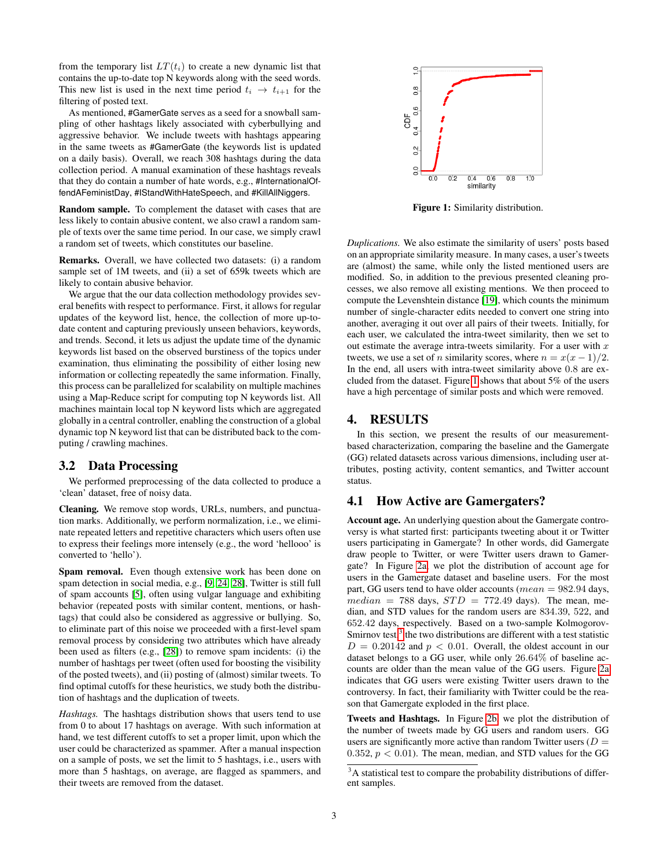from the temporary list  $LT(t_i)$  to create a new dynamic list that contains the up-to-date top N keywords along with the seed words. This new list is used in the next time period  $t_i \rightarrow t_{i+1}$  for the filtering of posted text.

As mentioned, #GamerGate serves as a seed for a snowball sampling of other hashtags likely associated with cyberbullying and aggressive behavior. We include tweets with hashtags appearing in the same tweets as #GamerGate (the keywords list is updated on a daily basis). Overall, we reach 308 hashtags during the data collection period. A manual examination of these hashtags reveals that they do contain a number of hate words, e.g., #InternationalOffendAFeministDay, #IStandWithHateSpeech, and #KillAllNiggers.

Random sample. To complement the dataset with cases that are less likely to contain abusive content, we also crawl a random sample of texts over the same time period. In our case, we simply crawl a random set of tweets, which constitutes our baseline.

Remarks. Overall, we have collected two datasets: (i) a random sample set of 1M tweets, and (ii) a set of 659k tweets which are likely to contain abusive behavior.

We argue that the our data collection methodology provides several benefits with respect to performance. First, it allows for regular updates of the keyword list, hence, the collection of more up-todate content and capturing previously unseen behaviors, keywords, and trends. Second, it lets us adjust the update time of the dynamic keywords list based on the observed burstiness of the topics under examination, thus eliminating the possibility of either losing new information or collecting repeatedly the same information. Finally, this process can be parallelized for scalability on multiple machines using a Map-Reduce script for computing top N keywords list. All machines maintain local top N keyword lists which are aggregated globally in a central controller, enabling the construction of a global dynamic top N keyword list that can be distributed back to the computing / crawling machines.

#### 3.2 Data Processing

We performed preprocessing of the data collected to produce a 'clean' dataset, free of noisy data.

Cleaning. We remove stop words, URLs, numbers, and punctuation marks. Additionally, we perform normalization, i.e., we eliminate repeated letters and repetitive characters which users often use to express their feelings more intensely (e.g., the word 'hellooo' is converted to 'hello').

Spam removal. Even though extensive work has been done on spam detection in social media, e.g., [\[9,](#page-5-20) [24,](#page-5-21) [28\]](#page-5-22), Twitter is still full of spam accounts [\[5\]](#page-5-23), often using vulgar language and exhibiting behavior (repeated posts with similar content, mentions, or hashtags) that could also be considered as aggressive or bullying. So, to eliminate part of this noise we proceeded with a first-level spam removal process by considering two attributes which have already been used as filters (e.g., [\[28\]](#page-5-22)) to remove spam incidents: (i) the number of hashtags per tweet (often used for boosting the visibility of the posted tweets), and (ii) posting of (almost) similar tweets. To find optimal cutoffs for these heuristics, we study both the distribution of hashtags and the duplication of tweets.

*Hashtags.* The hashtags distribution shows that users tend to use from 0 to about 17 hashtags on average. With such information at hand, we test different cutoffs to set a proper limit, upon which the user could be characterized as spammer. After a manual inspection on a sample of posts, we set the limit to 5 hashtags, i.e., users with more than 5 hashtags, on average, are flagged as spammers, and their tweets are removed from the dataset.

<span id="page-2-1"></span>

Figure 1: Similarity distribution.

*Duplications.* We also estimate the similarity of users' posts based on an appropriate similarity measure. In many cases, a user's tweets are (almost) the same, while only the listed mentioned users are modified. So, in addition to the previous presented cleaning processes, we also remove all existing mentions. We then proceed to compute the Levenshtein distance [\[19\]](#page-5-24), which counts the minimum number of single-character edits needed to convert one string into another, averaging it out over all pairs of their tweets. Initially, for each user, we calculated the intra-tweet similarity, then we set to out estimate the average intra-tweets similarity. For a user with  $x$ tweets, we use a set of *n* similarity scores, where  $n = x(x - 1)/2$ . In the end, all users with intra-tweet similarity above 0.8 are excluded from the dataset. Figure [1](#page-2-1) shows that about 5% of the users have a high percentage of similar posts and which were removed.

#### <span id="page-2-0"></span>4. RESULTS

In this section, we present the results of our measurementbased characterization, comparing the baseline and the Gamergate (GG) related datasets across various dimensions, including user attributes, posting activity, content semantics, and Twitter account status.

## 4.1 How Active are Gamergaters?

Account age. An underlying question about the Gamergate controversy is what started first: participants tweeting about it or Twitter users participating in Gamergate? In other words, did Gamergate draw people to Twitter, or were Twitter users drawn to Gamergate? In Figure [2a,](#page-3-0) we plot the distribution of account age for users in the Gamergate dataset and baseline users. For the most part, GG users tend to have older accounts ( $mean = 982.94$  days,  $median = 788$  days,  $STD = 772.49$  days). The mean, median, and STD values for the random users are 834.39, 522, and 652.42 days, respectively. Based on a two-sample Kolmogorov-Smirnov test, $3$  the two distributions are different with a test statistic  $D = 0.20142$  and  $p < 0.01$ . Overall, the oldest account in our dataset belongs to a GG user, while only 26.64% of baseline accounts are older than the mean value of the GG users. Figure [2a](#page-3-0) indicates that GG users were existing Twitter users drawn to the controversy. In fact, their familiarity with Twitter could be the reason that Gamergate exploded in the first place.

Tweets and Hashtags. In Figure [2b,](#page-3-0) we plot the distribution of the number of tweets made by GG users and random users. GG users are significantly more active than random Twitter users  $(D =$ 0.352,  $p < 0.01$ ). The mean, median, and STD values for the GG

<span id="page-2-2"></span><sup>&</sup>lt;sup>3</sup>A statistical test to compare the probability distributions of different samples.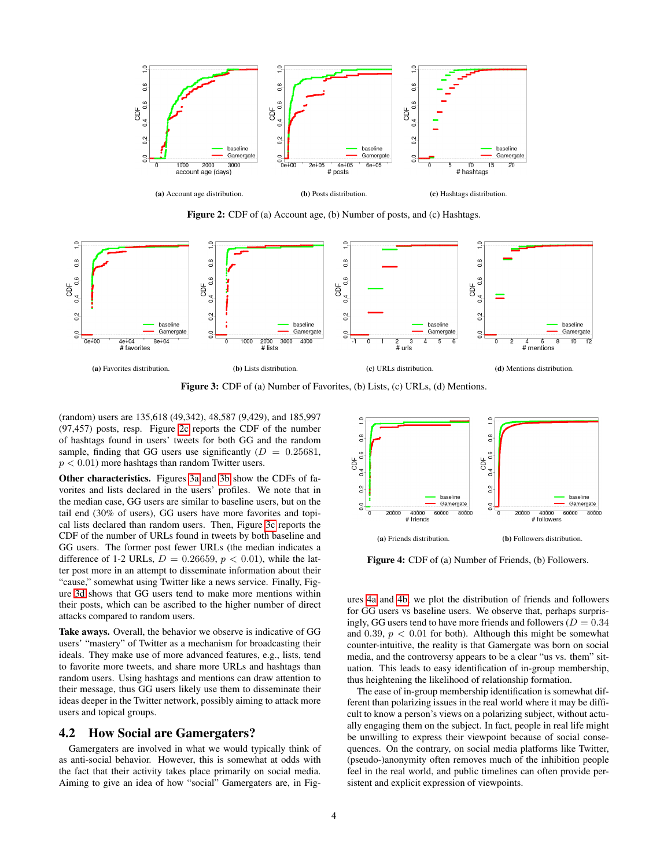<span id="page-3-0"></span>

Figure 2: CDF of (a) Account age, (b) Number of posts, and (c) Hashtags.

<span id="page-3-1"></span>

Figure 3: CDF of (a) Number of Favorites, (b) Lists, (c) URLs, (d) Mentions.

(random) users are 135,618 (49,342), 48,587 (9,429), and 185,997 (97,457) posts, resp. Figure [2c](#page-3-0) reports the CDF of the number of hashtags found in users' tweets for both GG and the random sample, finding that GG users use significantly  $(D = 0.25681,$  $p < 0.01$ ) more hashtags than random Twitter users.

Other characteristics. Figures [3a](#page-3-1) and [3b](#page-3-1) show the CDFs of favorites and lists declared in the users' profiles. We note that in the median case, GG users are similar to baseline users, but on the tail end (30% of users), GG users have more favorites and topical lists declared than random users. Then, Figure [3c](#page-3-1) reports the CDF of the number of URLs found in tweets by both baseline and GG users. The former post fewer URLs (the median indicates a difference of 1-2 URLs,  $D = 0.26659$ ,  $p < 0.01$ ), while the latter post more in an attempt to disseminate information about their "cause," somewhat using Twitter like a news service. Finally, Figure [3d](#page-3-1) shows that GG users tend to make more mentions within their posts, which can be ascribed to the higher number of direct attacks compared to random users.

Take aways. Overall, the behavior we observe is indicative of GG users' "mastery" of Twitter as a mechanism for broadcasting their ideals. They make use of more advanced features, e.g., lists, tend to favorite more tweets, and share more URLs and hashtags than random users. Using hashtags and mentions can draw attention to their message, thus GG users likely use them to disseminate their ideas deeper in the Twitter network, possibly aiming to attack more users and topical groups.

#### 4.2 How Social are Gamergaters?

Gamergaters are involved in what we would typically think of as anti-social behavior. However, this is somewhat at odds with the fact that their activity takes place primarily on social media. Aiming to give an idea of how "social" Gamergaters are, in Fig-

<span id="page-3-2"></span>

Figure 4: CDF of (a) Number of Friends, (b) Followers.

ures [4a](#page-3-2) and [4b,](#page-3-2) we plot the distribution of friends and followers for GG users vs baseline users. We observe that, perhaps surprisingly, GG users tend to have more friends and followers ( $D = 0.34$ ) and 0.39,  $p < 0.01$  for both). Although this might be somewhat counter-intuitive, the reality is that Gamergate was born on social media, and the controversy appears to be a clear "us vs. them" situation. This leads to easy identification of in-group membership, thus heightening the likelihood of relationship formation.

The ease of in-group membership identification is somewhat different than polarizing issues in the real world where it may be difficult to know a person's views on a polarizing subject, without actually engaging them on the subject. In fact, people in real life might be unwilling to express their viewpoint because of social consequences. On the contrary, on social media platforms like Twitter, (pseudo-)anonymity often removes much of the inhibition people feel in the real world, and public timelines can often provide persistent and explicit expression of viewpoints.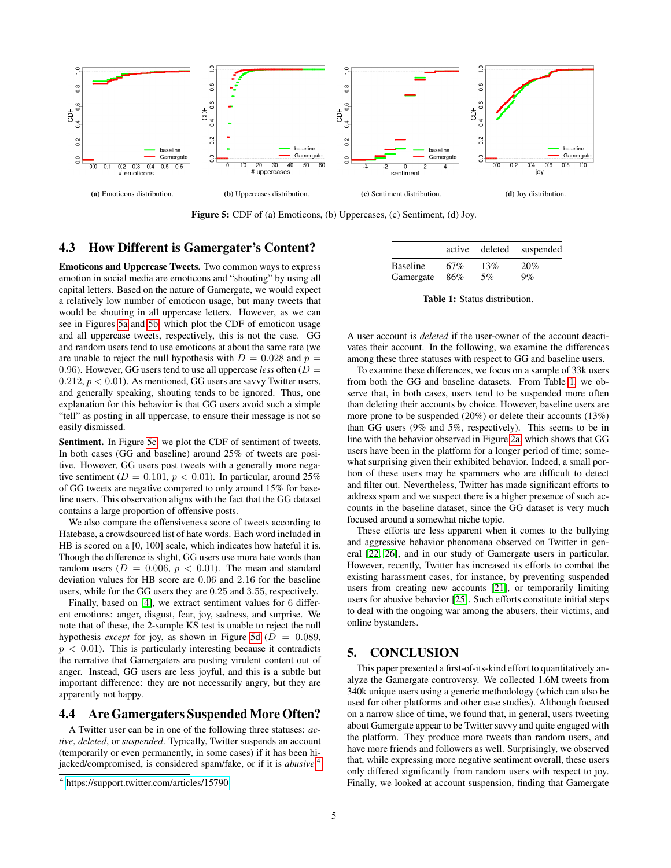<span id="page-4-1"></span>

Figure 5: CDF of (a) Emoticons, (b) Uppercases, (c) Sentiment, (d) Joy.

### 4.3 How Different is Gamergater's Content?

Emoticons and Uppercase Tweets. Two common ways to express emotion in social media are emoticons and "shouting" by using all capital letters. Based on the nature of Gamergate, we would expect a relatively low number of emoticon usage, but many tweets that would be shouting in all uppercase letters. However, as we can see in Figures [5a](#page-4-1) and [5b,](#page-4-1) which plot the CDF of emoticon usage and all uppercase tweets, respectively, this is not the case. GG and random users tend to use emoticons at about the same rate (we are unable to reject the null hypothesis with  $D = 0.028$  and  $p =$ 0.96). However, GG users tend to use all uppercase *less* often  $(D =$  $0.212, p < 0.01$ ). As mentioned, GG users are savvy Twitter users, and generally speaking, shouting tends to be ignored. Thus, one explanation for this behavior is that GG users avoid such a simple "tell" as posting in all uppercase, to ensure their message is not so easily dismissed.

Sentiment. In Figure [5c,](#page-4-1) we plot the CDF of sentiment of tweets. In both cases (GG and baseline) around 25% of tweets are positive. However, GG users post tweets with a generally more negative sentiment ( $D = 0.101$ ,  $p < 0.01$ ). In particular, around 25% of GG tweets are negative compared to only around 15% for baseline users. This observation aligns with the fact that the GG dataset contains a large proportion of offensive posts.

We also compare the offensiveness score of tweets according to Hatebase, a crowdsourced list of hate words. Each word included in HB is scored on a [0, 100] scale, which indicates how hateful it is. Though the difference is slight, GG users use more hate words than random users ( $D = 0.006$ ,  $p < 0.01$ ). The mean and standard deviation values for HB score are 0.06 and 2.16 for the baseline users, while for the GG users they are 0.25 and 3.55, respectively.

Finally, based on [\[4\]](#page-5-25), we extract sentiment values for 6 different emotions: anger, disgust, fear, joy, sadness, and surprise. We note that of these, the 2-sample KS test is unable to reject the null hypothesis *except* for joy, as shown in Figure [5d](#page-4-1) ( $D = 0.089$ ,  $p < 0.01$ ). This is particularly interesting because it contradicts the narrative that Gamergaters are posting virulent content out of anger. Instead, GG users are less joyful, and this is a subtle but important difference: they are not necessarily angry, but they are apparently not happy.

#### 4.4 Are Gamergaters Suspended More Often?

A Twitter user can be in one of the following three statuses: *active*, *deleted*, or *suspended*. Typically, Twitter suspends an account (temporarily or even permanently, in some cases) if it has been hijacked/compromised, is considered spam/fake, or if it is *abusive*. [4](#page-4-2)

<span id="page-4-3"></span>

|           |     |     | active deleted suspended |
|-----------|-----|-----|--------------------------|
| Baseline  | 67% | 13% | 20%                      |
| Gamergate | 86% | 5%  | $9\%$                    |

Table 1: Status distribution.

A user account is *deleted* if the user-owner of the account deactivates their account. In the following, we examine the differences among these three statuses with respect to GG and baseline users.

To examine these differences, we focus on a sample of 33k users from both the GG and baseline datasets. From Table [1,](#page-4-3) we observe that, in both cases, users tend to be suspended more often than deleting their accounts by choice. However, baseline users are more prone to be suspended (20%) or delete their accounts (13%) than GG users (9% and 5%, respectively). This seems to be in line with the behavior observed in Figure [2a,](#page-3-0) which shows that GG users have been in the platform for a longer period of time; somewhat surprising given their exhibited behavior. Indeed, a small portion of these users may be spammers who are difficult to detect and filter out. Nevertheless, Twitter has made significant efforts to address spam and we suspect there is a higher presence of such accounts in the baseline dataset, since the GG dataset is very much focused around a somewhat niche topic.

These efforts are less apparent when it comes to the bullying and aggressive behavior phenomena observed on Twitter in general [\[22,](#page-5-26) [26\]](#page-5-27), and in our study of Gamergate users in particular. However, recently, Twitter has increased its efforts to combat the existing harassment cases, for instance, by preventing suspended users from creating new accounts [\[21\]](#page-5-28), or temporarily limiting users for abusive behavior [\[25\]](#page-5-14). Such efforts constitute initial steps to deal with the ongoing war among the abusers, their victims, and online bystanders.

## <span id="page-4-0"></span>5. CONCLUSION

This paper presented a first-of-its-kind effort to quantitatively analyze the Gamergate controversy. We collected 1.6M tweets from 340k unique users using a generic methodology (which can also be used for other platforms and other case studies). Although focused on a narrow slice of time, we found that, in general, users tweeting about Gamergate appear to be Twitter savvy and quite engaged with the platform. They produce more tweets than random users, and have more friends and followers as well. Surprisingly, we observed that, while expressing more negative sentiment overall, these users only differed significantly from random users with respect to joy. Finally, we looked at account suspension, finding that Gamergate

<span id="page-4-2"></span><sup>4</sup> <https://support.twitter.com/articles/15790>